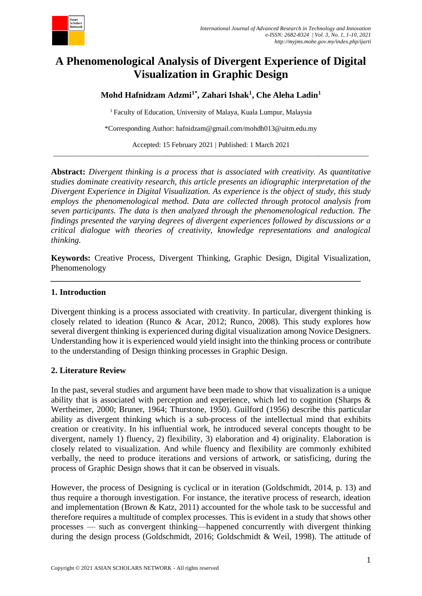

# **A Phenomenological Analysis of Divergent Experience of Digital Visualization in Graphic Design**

**Mohd Hafnidzam Adzmi1\* , Zahari Ishak<sup>1</sup> , Che Aleha Ladin<sup>1</sup>**

<sup>1</sup> Faculty of Education, University of Malaya, Kuala Lumpur, Malaysia

\*Corresponding Author: hafnidzam@gmail.com/mohdh013@uitm.edu.my

Accepted: 15 February 2021 | Published: 1 March 2021 \_\_\_\_\_\_\_\_\_\_\_\_\_\_\_\_\_\_\_\_\_\_\_\_\_\_\_\_\_\_\_\_\_\_\_\_\_\_\_\_\_\_\_\_\_\_\_\_\_\_\_\_\_\_\_\_\_\_\_\_\_\_\_\_\_\_\_\_\_\_\_\_\_\_\_\_\_\_\_\_\_\_\_\_\_\_\_\_\_

**Abstract:** *Divergent thinking is a process that is associated with creativity. As quantitative studies dominate creativity research, this article presents an idiographic interpretation of the Divergent Experience in Digital Visualization. As experience is the object of study, this study employs the phenomenological method. Data are collected through protocol analysis from seven participants. The data is then analyzed through the phenomenological reduction. The findings presented the varying degrees of divergent experiences followed by discussions or a critical dialogue with theories of creativity, knowledge representations and analogical thinking.*

**Keywords:** Creative Process, Divergent Thinking, Graphic Design, Digital Visualization, Phenomenology

*\_\_\_\_\_\_\_\_\_\_\_\_\_\_\_\_\_\_\_\_\_\_\_\_\_\_\_\_\_\_\_\_\_\_\_\_\_\_\_\_\_\_\_\_\_\_\_\_\_\_\_\_\_\_\_\_\_\_\_\_\_\_\_\_\_\_\_\_\_\_\_\_\_*

# **1. Introduction**

Divergent thinking is a process associated with creativity. In particular, divergent thinking is closely related to ideation (Runco & Acar, 2012; Runco, 2008). This study explores how several divergent thinking is experienced during digital visualization among Novice Designers. Understanding how it is experienced would yield insight into the thinking process or contribute to the understanding of Design thinking processes in Graphic Design.

# **2. Literature Review**

In the past, several studies and argument have been made to show that visualization is a unique ability that is associated with perception and experience, which led to cognition (Sharps & Wertheimer, 2000; Bruner, 1964; Thurstone, 1950). Guilford (1956) describe this particular ability as divergent thinking which is a sub-process of the intellectual mind that exhibits creation or creativity. In his influential work, he introduced several concepts thought to be divergent, namely 1) fluency, 2) flexibility, 3) elaboration and 4) originality. Elaboration is closely related to visualization. And while fluency and flexibility are commonly exhibited verbally, the need to produce iterations and versions of artwork, or satisficing, during the process of Graphic Design shows that it can be observed in visuals.

However, the process of Designing is cyclical or in iteration (Goldschmidt, 2014, p. 13) and thus require a thorough investigation. For instance, the iterative process of research, ideation and implementation (Brown & Katz, 2011) accounted for the whole task to be successful and therefore requires a multitude of complex processes. This is evident in a study that shows other processes — such as convergent thinking—happened concurrently with divergent thinking during the design process (Goldschmidt, 2016; Goldschmidt & Weil, 1998). The attitude of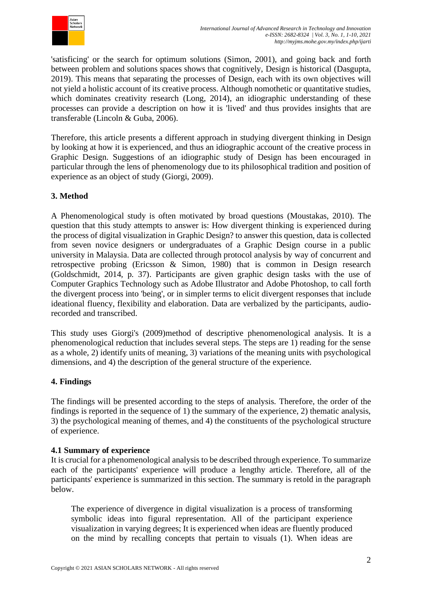

'satisficing' or the search for optimum solutions (Simon, 2001), and going back and forth between problem and solutions spaces shows that cognitively, Design is historical (Dasgupta, 2019). This means that separating the processes of Design, each with its own objectives will not yield a holistic account of its creative process. Although nomothetic or quantitative studies, which dominates creativity research (Long, 2014), an idiographic understanding of these processes can provide a description on how it is 'lived' and thus provides insights that are transferable (Lincoln & Guba, 2006).

Therefore, this article presents a different approach in studying divergent thinking in Design by looking at how it is experienced, and thus an idiographic account of the creative process in Graphic Design. Suggestions of an idiographic study of Design has been encouraged in particular through the lens of phenomenology due to its philosophical tradition and position of experience as an object of study (Giorgi, 2009).

# **3. Method**

A Phenomenological study is often motivated by broad questions (Moustakas, 2010). The question that this study attempts to answer is: How divergent thinking is experienced during the process of digital visualization in Graphic Design? to answer this question, data is collected from seven novice designers or undergraduates of a Graphic Design course in a public university in Malaysia. Data are collected through protocol analysis by way of concurrent and retrospective probing (Ericsson & Simon, 1980) that is common in Design research (Goldschmidt, 2014, p. 37). Participants are given graphic design tasks with the use of Computer Graphics Technology such as Adobe Illustrator and Adobe Photoshop, to call forth the divergent process into 'being', or in simpler terms to elicit divergent responses that include ideational fluency, flexibility and elaboration. Data are verbalized by the participants, audiorecorded and transcribed.

This study uses Giorgi's (2009)method of descriptive phenomenological analysis. It is a phenomenological reduction that includes several steps. The steps are 1) reading for the sense as a whole, 2) identify units of meaning, 3) variations of the meaning units with psychological dimensions, and 4) the description of the general structure of the experience.

# **4. Findings**

The findings will be presented according to the steps of analysis. Therefore, the order of the findings is reported in the sequence of 1) the summary of the experience, 2) thematic analysis, 3) the psychological meaning of themes, and 4) the constituents of the psychological structure of experience.

# **4.1 Summary of experience**

It is crucial for a phenomenological analysis to be described through experience. To summarize each of the participants' experience will produce a lengthy article. Therefore, all of the participants' experience is summarized in this section. The summary is retold in the paragraph below.

The experience of divergence in digital visualization is a process of transforming symbolic ideas into figural representation. All of the participant experience visualization in varying degrees; It is experienced when ideas are fluently produced on the mind by recalling concepts that pertain to visuals (1). When ideas are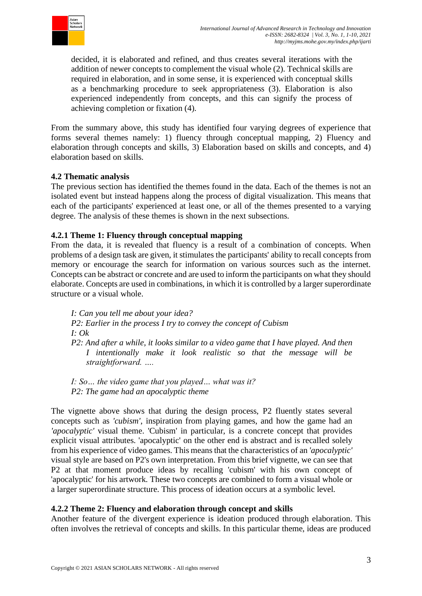

decided, it is elaborated and refined, and thus creates several iterations with the addition of newer concepts to complement the visual whole (2). Technical skills are required in elaboration, and in some sense, it is experienced with conceptual skills as a benchmarking procedure to seek appropriateness (3). Elaboration is also experienced independently from concepts, and this can signify the process of achieving completion or fixation (4).

From the summary above, this study has identified four varying degrees of experience that forms several themes namely: 1) fluency through conceptual mapping, 2) Fluency and elaboration through concepts and skills, 3) Elaboration based on skills and concepts, and 4) elaboration based on skills.

## **4.2 Thematic analysis**

The previous section has identified the themes found in the data. Each of the themes is not an isolated event but instead happens along the process of digital visualization. This means that each of the participants' experienced at least one, or all of the themes presented to a varying degree. The analysis of these themes is shown in the next subsections.

## **4.2.1 Theme 1: Fluency through conceptual mapping**

From the data, it is revealed that fluency is a result of a combination of concepts. When problems of a design task are given, it stimulates the participants' ability to recall concepts from memory or encourage the search for information on various sources such as the internet. Concepts can be abstract or concrete and are used to inform the participants on what they should elaborate. Concepts are used in combinations, in which it is controlled by a larger superordinate structure or a visual whole.

*I: Can you tell me about your idea? P2: Earlier in the process I try to convey the concept of Cubism I: Ok P2: And after a while, it looks similar to a video game that I have played. And then I intentionally make it look realistic so that the message will be straightforward. ….*

*I: So… the video game that you played… what was it? P2: The game had an apocalyptic theme*

The vignette above shows that during the design process, P2 fluently states several concepts such as *'cubism'*, inspiration from playing games, and how the game had an *'apocalyptic'* visual theme. 'Cubism' in particular, is a concrete concept that provides explicit visual attributes. 'apocalyptic' on the other end is abstract and is recalled solely from his experience of video games. This means that the characteristics of an *'apocalyptic'* visual style are based on P2's own interpretation. From this brief vignette, we can see that P2 at that moment produce ideas by recalling 'cubism' with his own concept of 'apocalyptic' for his artwork. These two concepts are combined to form a visual whole or a larger superordinate structure. This process of ideation occurs at a symbolic level.

#### **4.2.2 Theme 2: Fluency and elaboration through concept and skills**

Another feature of the divergent experience is ideation produced through elaboration. This often involves the retrieval of concepts and skills. In this particular theme, ideas are produced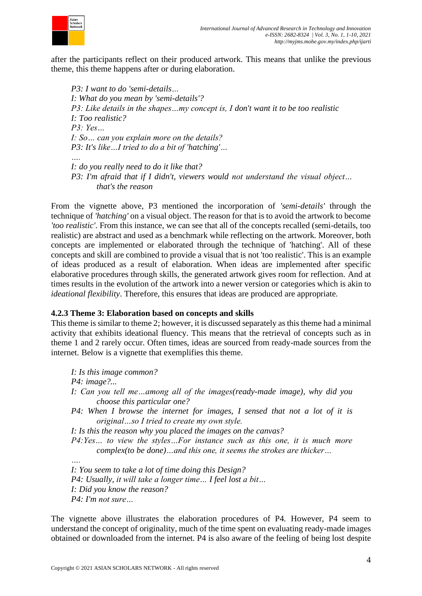

after the participants reflect on their produced artwork. This means that unlike the previous theme, this theme happens after or during elaboration.

*P3: I want to do 'semi-details… I: What do you mean by 'semi-details'? P3: Like details in the shapes…my concept is, I don't want it to be too realistic I: Too realistic? P3: Yes… I: So… can you explain more on the details? P3: It's like…I tried to do a bit of 'hatching'… …. I: do you really need to do it like that? P3: I'm afraid that if I didn't, viewers would not understand the visual object… that's the reason*

From the vignette above, P3 mentioned the incorporation of *'semi-details'* through the technique of *'hatching'* on a visual object. The reason for that is to avoid the artwork to become *'too realistic'*. From this instance, we can see that all of the concepts recalled (semi-details, too realistic) are abstract and used as a benchmark while reflecting on the artwork. Moreover, both concepts are implemented or elaborated through the technique of 'hatching'. All of these concepts and skill are combined to provide a visual that is not 'too realistic'. This is an example of ideas produced as a result of elaboration. When ideas are implemented after specific elaborative procedures through skills, the generated artwork gives room for reflection. And at times results in the evolution of the artwork into a newer version or categories which is akin to *ideational flexibility*. Therefore, this ensures that ideas are produced are appropriate.

#### **4.2.3 Theme 3: Elaboration based on concepts and skills**

This theme is similar to theme 2; however, it is discussed separately as this theme had a minimal activity that exhibits ideational fluency. This means that the retrieval of concepts such as in theme 1 and 2 rarely occur. Often times, ideas are sourced from ready-made sources from the internet. Below is a vignette that exemplifies this theme.

*I: Is this image common? P4: image?... I: Can you tell me…among all of the images(ready-made image), why did you choose this particular one? P4: When I browse the internet for images, I sensed that not a lot of it is original…so I tried to create my own style. I: Is this the reason why you placed the images on the canvas? P4:Yes… to view the styles…For instance such as this one, it is much more complex(to be done)…and this one, it seems the strokes are thicker… ….*

*I: You seem to take a lot of time doing this Design? P4: Usually, it will take a longer time… I feel lost a bit… I: Did you know the reason? P4: I'm not sure…*

The vignette above illustrates the elaboration procedures of P4. However, P4 seem to understand the concept of originality, much of the time spent on evaluating ready-made images obtained or downloaded from the internet. P4 is also aware of the feeling of being lost despite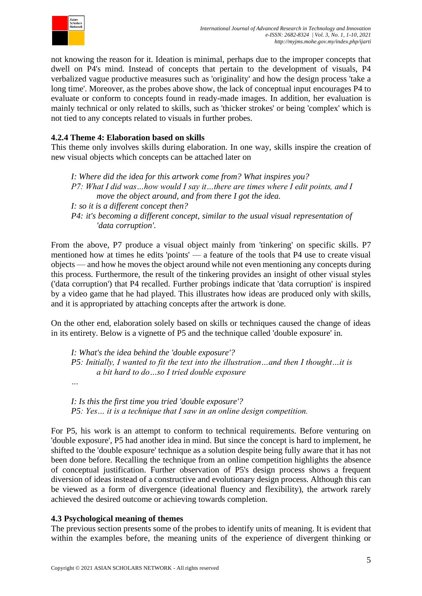

not knowing the reason for it. Ideation is minimal, perhaps due to the improper concepts that dwell on P4's mind. Instead of concepts that pertain to the development of visuals, P4 verbalized vague productive measures such as 'originality' and how the design process 'take a long time'. Moreover, as the probes above show, the lack of conceptual input encourages P4 to evaluate or conform to concepts found in ready-made images. In addition, her evaluation is mainly technical or only related to skills, such as 'thicker strokes' or being 'complex' which is not tied to any concepts related to visuals in further probes.

## **4.2.4 Theme 4: Elaboration based on skills**

This theme only involves skills during elaboration. In one way, skills inspire the creation of new visual objects which concepts can be attached later on

*I: Where did the idea for this artwork come from? What inspires you? P7: What I did was…how would I say it…there are times where I edit points, and I move the object around, and from there I got the idea. I: so it is a different concept then? P4: it's becoming a different concept, similar to the usual visual representation of 'data corruption'.*

From the above, P7 produce a visual object mainly from 'tinkering' on specific skills. P7 mentioned how at times he edits 'points' — a feature of the tools that P4 use to create visual objects — and how he moves the object around while not even mentioning any concepts during this process. Furthermore, the result of the tinkering provides an insight of other visual styles ('data corruption') that P4 recalled. Further probings indicate that 'data corruption' is inspired by a video game that he had played. This illustrates how ideas are produced only with skills, and it is appropriated by attaching concepts after the artwork is done.

On the other end, elaboration solely based on skills or techniques caused the change of ideas in its entirety. Below is a vignette of P5 and the technique called 'double exposure' in.

*I: What's the idea behind the 'double exposure'? P5: Initially, I wanted to fit the text into the illustration…and then I thought…it is a bit hard to do…so I tried double exposure*

*I: Is this the first time you tried 'double exposure'? P5: Yes… it is a technique that I saw in an online design competition.*

For P5, his work is an attempt to conform to technical requirements. Before venturing on 'double exposure', P5 had another idea in mind. But since the concept is hard to implement, he shifted to the 'double exposure' technique as a solution despite being fully aware that it has not been done before. Recalling the technique from an online competition highlights the absence of conceptual justification. Further observation of P5's design process shows a frequent diversion of ideas instead of a constructive and evolutionary design process. Although this can be viewed as a form of divergence (ideational fluency and flexibility), the artwork rarely achieved the desired outcome or achieving towards completion.

#### **4.3 Psychological meaning of themes**

*…*

The previous section presents some of the probes to identify units of meaning. It is evident that within the examples before, the meaning units of the experience of divergent thinking or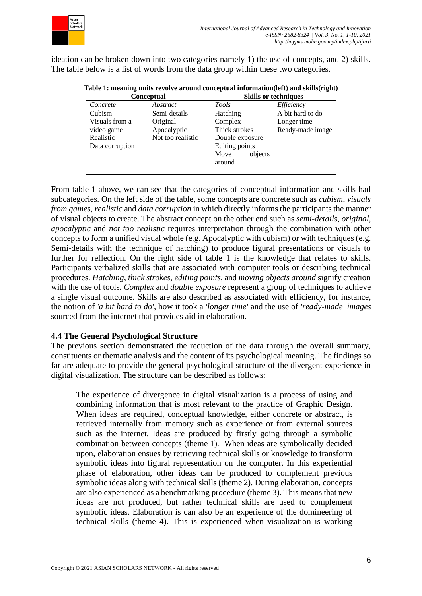

ideation can be broken down into two categories namely 1) the use of concepts, and 2) skills. The table below is a list of words from the data group within these two categories.

|  | Table 1: meaning units revolve around conceptual information(left) and skills(right) |
|--|--------------------------------------------------------------------------------------|
|--|--------------------------------------------------------------------------------------|

| <b>Conceptual</b> |                 | <b>Skills or techniques</b> |  |
|-------------------|-----------------|-----------------------------|--|
| Abstract          | Tools           | Efficiency                  |  |
| Semi-details      | Hatching        | A bit hard to do            |  |
| Original          | Complex         | Longer time                 |  |
| Apocalyptic       | Thick strokes   | Ready-made image            |  |
| Not too realistic | Double exposure |                             |  |
|                   | Editing points  |                             |  |
|                   | objects<br>Move |                             |  |
|                   | around          |                             |  |
|                   |                 |                             |  |

From table 1 above, we can see that the categories of conceptual information and skills had subcategories. On the left side of the table, some concepts are concrete such as *cubism*, *visuals from games*, *realistic* and *data corruption* in which directly informs the participants the manner of visual objects to create. The abstract concept on the other end such as *semi-details*, *original*, *apocalyptic* and *not too realistic* requires interpretation through the combination with other concepts to form a unified visual whole (e.g. Apocalyptic with cubism) or with techniques (e.g. Semi-details with the technique of hatching) to produce figural presentations or visuals to further for reflection. On the right side of table 1 is the knowledge that relates to skills. Participants verbalized skills that are associated with computer tools or describing technical procedures. *Hatching*, *thick strokes*, *editing points*, and *moving objects around* signify creation with the use of tools. *Complex* and *double exposure* represent a group of techniques to achieve a single visual outcome. Skills are also described as associated with efficiency, for instance, the notion of *'a bit hard to do'*, how it took a *'longer time'* and the use of *'ready-made' images* sourced from the internet that provides aid in elaboration.

#### **4.4 The General Psychological Structure**

The previous section demonstrated the reduction of the data through the overall summary, constituents or thematic analysis and the content of its psychological meaning. The findings so far are adequate to provide the general psychological structure of the divergent experience in digital visualization. The structure can be described as follows:

The experience of divergence in digital visualization is a process of using and combining information that is most relevant to the practice of Graphic Design. When ideas are required, conceptual knowledge, either concrete or abstract, is retrieved internally from memory such as experience or from external sources such as the internet. Ideas are produced by firstly going through a symbolic combination between concepts (theme 1). When ideas are symbolically decided upon, elaboration ensues by retrieving technical skills or knowledge to transform symbolic ideas into figural representation on the computer. In this experiential phase of elaboration, other ideas can be produced to complement previous symbolic ideas along with technical skills (theme 2). During elaboration, concepts are also experienced as a benchmarking procedure (theme 3). This means that new ideas are not produced, but rather technical skills are used to complement symbolic ideas. Elaboration is can also be an experience of the domineering of technical skills (theme 4). This is experienced when visualization is working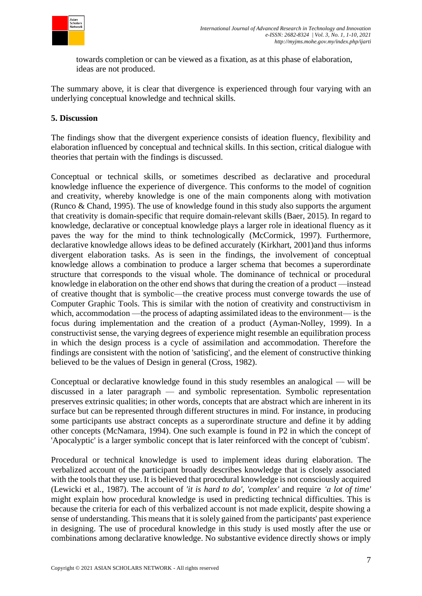

towards completion or can be viewed as a fixation, as at this phase of elaboration, ideas are not produced.

The summary above, it is clear that divergence is experienced through four varying with an underlying conceptual knowledge and technical skills.

## **5. Discussion**

The findings show that the divergent experience consists of ideation fluency, flexibility and elaboration influenced by conceptual and technical skills. In this section, critical dialogue with theories that pertain with the findings is discussed.

Conceptual or technical skills, or sometimes described as declarative and procedural knowledge influence the experience of divergence. This conforms to the model of cognition and creativity, whereby knowledge is one of the main components along with motivation (Runco & Chand, 1995). The use of knowledge found in this study also supports the argument that creativity is domain-specific that require domain-relevant skills (Baer, 2015). In regard to knowledge, declarative or conceptual knowledge plays a larger role in ideational fluency as it paves the way for the mind to think technologically (McCormick, 1997). Furthermore, declarative knowledge allows ideas to be defined accurately (Kirkhart, 2001)and thus informs divergent elaboration tasks. As is seen in the findings, the involvement of conceptual knowledge allows a combination to produce a larger schema that becomes a superordinate structure that corresponds to the visual whole. The dominance of technical or procedural knowledge in elaboration on the other end shows that during the creation of a product —instead of creative thought that is symbolic—the creative process must converge towards the use of Computer Graphic Tools. This is similar with the notion of creativity and constructivism in which, accommodation —the process of adapting assimilated ideas to the environment— is the focus during implementation and the creation of a product (Ayman-Nolley, 1999). In a constructivist sense, the varying degrees of experience might resemble an equilibration process in which the design process is a cycle of assimilation and accommodation. Therefore the findings are consistent with the notion of 'satisficing', and the element of constructive thinking believed to be the values of Design in general (Cross, 1982).

Conceptual or declarative knowledge found in this study resembles an analogical — will be discussed in a later paragraph — and symbolic representation. Symbolic representation preserves extrinsic qualities; in other words, concepts that are abstract which are inherent in its surface but can be represented through different structures in mind. For instance, in producing some participants use abstract concepts as a superordinate structure and define it by adding other concepts (McNamara, 1994). One such example is found in P2 in which the concept of 'Apocalyptic' is a larger symbolic concept that is later reinforced with the concept of 'cubism'.

Procedural or technical knowledge is used to implement ideas during elaboration. The verbalized account of the participant broadly describes knowledge that is closely associated with the tools that they use. It is believed that procedural knowledge is not consciously acquired (Lewicki et al., 1987). The account of *'it is hard to do'*, *'complex'* and require *'a lot of time'* might explain how procedural knowledge is used in predicting technical difficulties. This is because the criteria for each of this verbalized account is not made explicit, despite showing a sense of understanding. This means that it is solely gained from the participants' past experience in designing. The use of procedural knowledge in this study is used mostly after the use or combinations among declarative knowledge. No substantive evidence directly shows or imply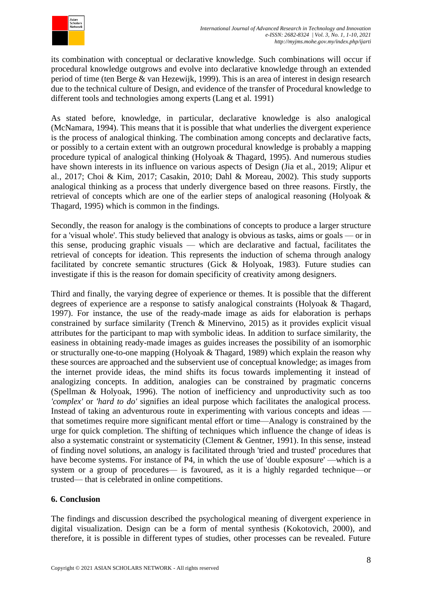

its combination with conceptual or declarative knowledge. Such combinations will occur if procedural knowledge outgrows and evolve into declarative knowledge through an extended period of time (ten Berge & van Hezewijk, 1999). This is an area of interest in design research due to the technical culture of Design, and evidence of the transfer of Procedural knowledge to different tools and technologies among experts (Lang et al. 1991)

As stated before, knowledge, in particular, declarative knowledge is also analogical (McNamara, 1994). This means that it is possible that what underlies the divergent experience is the process of analogical thinking. The combination among concepts and declarative facts, or possibly to a certain extent with an outgrown procedural knowledge is probably a mapping procedure typical of analogical thinking (Holyoak & Thagard, 1995). And numerous studies have shown interests in its influence on various aspects of Design (Jia et al., 2019; Alipur et al., 2017; Choi & Kim, 2017; Casakin, 2010; Dahl & Moreau, 2002). This study supports analogical thinking as a process that underly divergence based on three reasons. Firstly, the retrieval of concepts which are one of the earlier steps of analogical reasoning (Holyoak & Thagard, 1995) which is common in the findings.

Secondly, the reason for analogy is the combinations of concepts to produce a larger structure for a 'visual whole'. This study believed that analogy is obvious as tasks, aims or goals — or in this sense, producing graphic visuals — which are declarative and factual, facilitates the retrieval of concepts for ideation. This represents the induction of schema through analogy facilitated by concrete semantic structures (Gick & Holyoak, 1983). Future studies can investigate if this is the reason for domain specificity of creativity among designers.

Third and finally, the varying degree of experience or themes. It is possible that the different degrees of experience are a response to satisfy analogical constraints (Holyoak & Thagard, 1997). For instance, the use of the ready-made image as aids for elaboration is perhaps constrained by surface similarity (Trench & Minervino, 2015) as it provides explicit visual attributes for the participant to map with symbolic ideas. In addition to surface similarity, the easiness in obtaining ready-made images as guides increases the possibility of an isomorphic or structurally one-to-one mapping (Holyoak & Thagard, 1989) which explain the reason why these sources are approached and the subservient use of conceptual knowledge; as images from the internet provide ideas, the mind shifts its focus towards implementing it instead of analogizing concepts. In addition, analogies can be constrained by pragmatic concerns (Spellman & Holyoak, 1996). The notion of inefficiency and unproductivity such as too *'complex'* or *'hard to do'* signifies an ideal purpose which facilitates the analogical process. Instead of taking an adventurous route in experimenting with various concepts and ideas that sometimes require more significant mental effort or time—Analogy is constrained by the urge for quick completion. The shifting of techniques which influence the change of ideas is also a systematic constraint or systematicity (Clement & Gentner, 1991). In this sense, instead of finding novel solutions, an analogy is facilitated through 'tried and trusted' procedures that have become systems. For instance of P4, in which the use of 'double exposure' —which is a system or a group of procedures— is favoured, as it is a highly regarded technique—or trusted— that is celebrated in online competitions.

# **6. Conclusion**

The findings and discussion described the psychological meaning of divergent experience in digital visualization. Design can be a form of mental synthesis (Kokotovich, 2000), and therefore, it is possible in different types of studies, other processes can be revealed. Future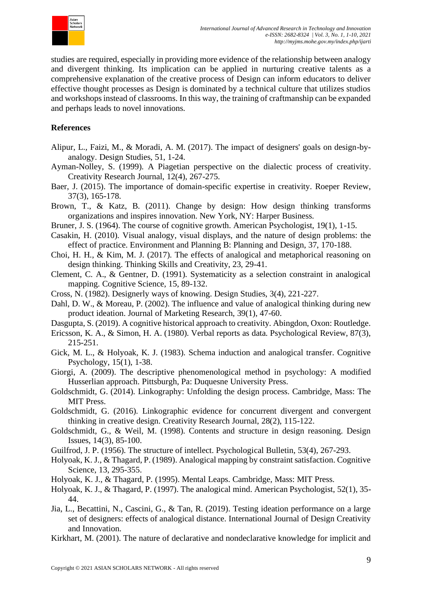

studies are required, especially in providing more evidence of the relationship between analogy and divergent thinking. Its implication can be applied in nurturing creative talents as a comprehensive explanation of the creative process of Design can inform educators to deliver effective thought processes as Design is dominated by a technical culture that utilizes studios and workshops instead of classrooms. In this way, the training of craftmanship can be expanded and perhaps leads to novel innovations.

#### **References**

- Alipur, L., Faizi, M., & Moradi, A. M. (2017). The impact of designers' goals on design-byanalogy. Design Studies, 51, 1-24.
- Ayman-Nolley, S. (1999). A Piagetian perspective on the dialectic process of creativity. Creativity Research Journal, 12(4), 267-275.
- Baer, J. (2015). The importance of domain-specific expertise in creativity. Roeper Review, 37(3), 165-178.
- Brown, T., & Katz, B. (2011). Change by design: How design thinking transforms organizations and inspires innovation. New York, NY: Harper Business.
- Bruner, J. S. (1964). The course of cognitive growth. American Psychologist, 19(1), 1-15.
- Casakin, H. (2010). Visual analogy, visual displays, and the nature of design problems: the effect of practice. Environment and Planning B: Planning and Design, 37, 170-188.
- Choi, H. H., & Kim, M. J. (2017). The effects of analogical and metaphorical reasoning on design thinking. Thinking Skills and Creativity, 23, 29-41.
- Clement, C. A., & Gentner, D. (1991). Systematicity as a selection constraint in analogical mapping. Cognitive Science, 15, 89-132.
- Cross, N. (1982). Designerly ways of knowing. Design Studies, 3(4), 221-227.
- Dahl, D. W., & Moreau, P. (2002). The influence and value of analogical thinking during new product ideation. Journal of Marketing Research, 39(1), 47-60.
- Dasgupta, S. (2019). A cognitive historical approach to creativity. Abingdon, Oxon: Routledge.
- Ericsson, K. A., & Simon, H. A. (1980). Verbal reports as data. Psychological Review, 87(3), 215-251.
- Gick, M. L., & Holyoak, K. J. (1983). Schema induction and analogical transfer. Cognitive Psychology, 15(1), 1-38.
- Giorgi, A. (2009). The descriptive phenomenological method in psychology: A modified Husserlian approach. Pittsburgh, Pa: Duquesne University Press.
- Goldschmidt, G. (2014). Linkography: Unfolding the design process. Cambridge, Mass: The MIT Press.
- Goldschmidt, G. (2016). Linkographic evidence for concurrent divergent and convergent thinking in creative design. Creativity Research Journal, 28(2), 115-122.
- Goldschmidt, G., & Weil, M. (1998). Contents and structure in design reasoning. Design Issues, 14(3), 85-100.
- Guilfrod, J. P. (1956). The structure of intellect. Psychological Bulletin, 53(4), 267-293.
- Holyoak, K. J., & Thagard, P. (1989). Analogical mapping by constraint satisfaction. Cognitive Science, 13, 295-355.
- Holyoak, K. J., & Thagard, P. (1995). Mental Leaps. Cambridge, Mass: MIT Press.
- Holyoak, K. J., & Thagard, P. (1997). The analogical mind. American Psychologist, 52(1), 35- 44.
- Jia, L., Becattini, N., Cascini, G., & Tan, R. (2019). Testing ideation performance on a large set of designers: effects of analogical distance. International Journal of Design Creativity and Innovation.
- Kirkhart, M. (2001). The nature of declarative and nondeclarative knowledge for implicit and